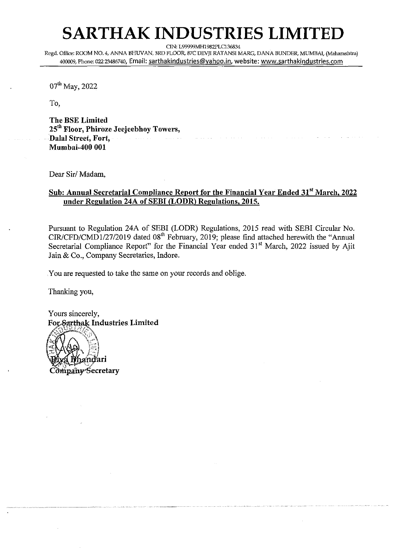## **SARTHAK INDUSTRIES LIMITED**

CIN: L99999MH1982PLC136834

Regd. Office: ROOM NO. 4, ANNA BHWAN, 3RD FLOOR, 87C DEW RATANSI MARG, DANA BUNDER, MUMBAI, **(Maharashh.a)**  400009, Phone: 022 23486740, Email: sarthakindustries@yahoo.in, website: www.sarthakindustries.com

07<sup>th</sup> May, 2022

To.

**The BSE Limited ~5'~ Floor, Phiroze Jeejeebhoy Towers, Dalal Street, Port, Mumbai-400 001** 

Dear Sir/ Madam,

### **Sub: Annual Secretarial Compliance Report for the Financial Year Ended 31'' March, 2022 under Regulation 24A of SEBI (LODR) Regulations, 2015.**

Pursuant to Regulation 24A of SEBI (LODR) Regulations, 2015 read with SEBI Circular No. CIR/CFD/CMD1/27/2019 dated Ogth February, 2019; please find attached herewith the "Annual Secretarial Compliance Report" for the Financial Year ended 31<sup>st</sup> March, 2022 issued by Ajit Jain & Co., Company Secretaries, Indore.

You are requested to take the same on your records and oblige.

Thanking you,

Yours sincerely,<br>For-Sarthak Industries Limited

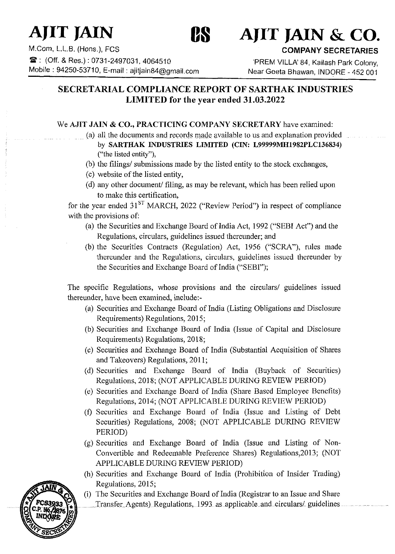

# **AJIT JAIN 88 AJIT JAIN** & **CO.**

M.Com, L.L.B. (Hons.), FCS **COMPANY SECRETARIES**  Mobile : 94250-53710, E-mail : ajitjain84@gmail.com

: 'PREM VILLA' 84, Kailash Park Colony,<br>Near Geeta Bhawan, INDORE - 452 001

## **SECRETARIAL COMPLIANCE REPORT OF SARTHAK INDUSTRIES LIMITED for the year ended 31.03.2022**

## We **AJIT JAIN** & **CO., PRACTICING COMPANY SECRETARY** have examined:

- (a) all the documents and records made available to us and explanation provided by **SARTHAK INDUSTRIES LIMITED (CIN: L99999MH1982PLC136834)**  ("the listed entity"),
- (b) the filings/ submissions made by the listed entity to the stock exchanges,
- (c) website of the listed entity,
- (d) any other document/ filing, as may be relevant, which has been relied upon to make this certification,

for the year ended  $31<sup>ST</sup>$  MARCH, 2022 ("Review Period") in respect of compliance with the provisions of:

- (a) the Securities and Exchange Board of India Act, 1992 ("SEBI Act") and the Regulations, circulars, guidelines issued thereunder; and
- (b) the Securities Contracts (Regulation) Act, 1956 ("SCRA"), rules made thereunder and the Regulations, circulars, guidelines issued thereunder by the Securities and Exchange Board of India ("SEBI");

The specific Regulations, whose provisions and the circulars/ guidelines issued thereunder, have been examined, include:-

- (a) Securities and Exchange Board of India (Listing Obligations and Disclosure Requirements) Regulations, 2015;
- (b) Securities and Exchange Board of India (Issue of Capital and Disclosure Requirements) Regulations, 2018;
- (c) Securities and Exchange Board of India (Substantial Acquisition of Shares and Takeovers) Regulations, 201 1;
- (d) Securities and Exchange Board of India (Buyback of Securities) Regulations, 2018; (NOT APPLICABLE DURING REVIEW PERIOD)
- (e) Securities and Exchange Board of India (Share Based Employee Benefits) Regulations, 2014; (NOT APPLICABLE DURING REVIEW PERIOD)
- *(0* Securities and Exchange Board of India (Issue and Listing of Debt Securities) Regulations, 2008; (NOT APPLICABLE DURING REVIEW PERIOD)
- (g) Securities and Exchange Board of India (Issue and Listing of Non-Convertible and Redeemable Preference Shares) Regulations,2013; (NOT APPLICABLE DURING REVIEW PERIOD)
- (h) Securities and Exchange Board of India (Prohibition of Insider Trading) Regulations, 2015;
- (i) The Securities and Exchange Board of India (Registrar to an Issue and Share Transfer Agents) Regulations, 1993 as applicable and circulars/ guidelines